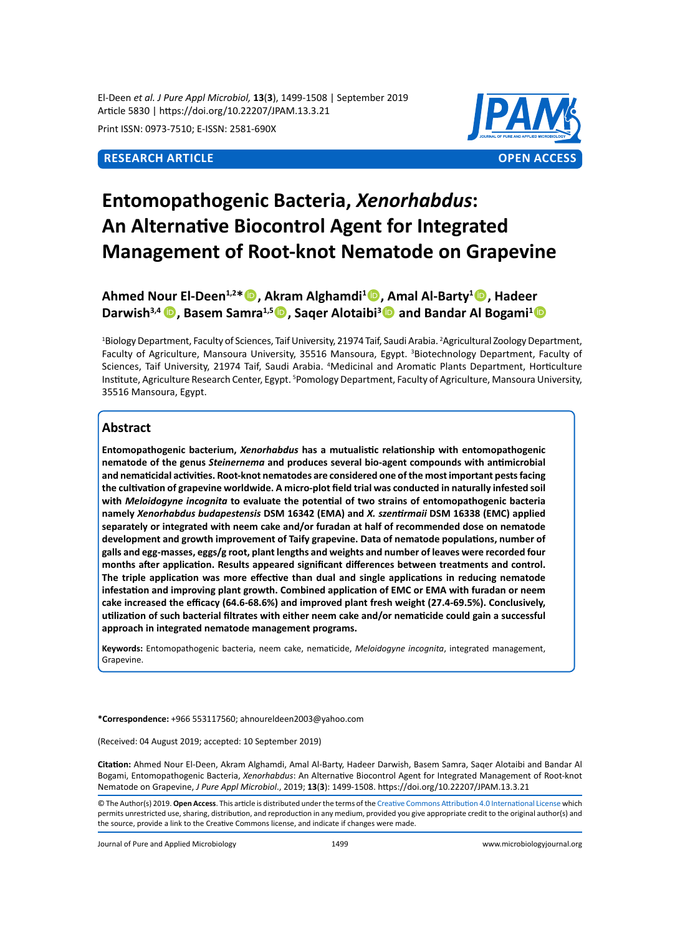El-Deen *et al. J Pure Appl Microbiol,* **13**(**3**), 1499-1508 | September 2019 Article 5830 | https://doi.org/10.22207/JPAM.13.3.21

Print ISSN: 0973-7510; E-ISSN: 2581-690X



# **Entomopathogenic Bacteria,** *Xenorhabdus***: An Alternative Biocontrol Agent for Integrated Management of Root-knot Nematode on Grapevine**

**Ahmed Nour El-Deen1,2\*, Akram Alghamdi<sup>1</sup> , Amal Al-Barty<sup>1</sup> , Hadeer**  Darwish<sup>3,4</sup> **D**, Basem Samra<sup>1,5</sup> **D**, Saqer Alotaibi<sup>3</sup> **D** and Bandar Al Bogami<sup>1</sup> **D** 

<sup>1</sup>Biology Department, Faculty of Sciences, Taif University, 21974 Taif, Saudi Arabia. <sup>2</sup>Agricultural Zoology Department, Faculty of Agriculture, Mansoura University, 35516 Mansoura, Egypt. <sup>3</sup>Biotechnology Department, Faculty of Sciences, Taif University, 21974 Taif, Saudi Arabia. <sup>4</sup>Medicinal and Aromatic Plants Department, Horticulture Institute, Agriculture Research Center, Egypt. <sup>5</sup>Pomology Department, Faculty of Agriculture, Mansoura University, 35516 Mansoura, Egypt.

# **Abstract**

**Entomopathogenic bacterium,** *Xenorhabdus* **has a mutualistic relationship with entomopathogenic nematode of the genus** *Steinernema* **and produces several bio-agent compounds with antimicrobial and nematicidal activities. Root-knot nematodes are considered one of the most important pests facing the cultivation of grapevine worldwide. A micro-plot field trial was conducted in naturally infested soil with** *Meloidogyne incognita* **to evaluate the potential of two strains of entomopathogenic bacteria namely** *Xenorhabdus budapestensis* **DSM 16342 (EMA) and** *X. szentirmaii* **DSM 16338 (EMC) applied separately or integrated with neem cake and/or furadan at half of recommended dose on nematode development and growth improvement of Taify grapevine. Data of nematode populations, number of galls and egg-masses, eggs/g root, plant lengths and weights and number of leaves were recorded four months after application. Results appeared significant differences between treatments and control. The triple application was more effective than dual and single applications in reducing nematode infestation and improving plant growth. Combined application of EMC or EMA with furadan or neem cake increased the efficacy (64.6-68.6%) and improved plant fresh weight (27.4-69.5%). Conclusively, utilization of such bacterial filtrates with either neem cake and/or nematicide could gain a successful approach in integrated nematode management programs.**

**Keywords:** Entomopathogenic bacteria, neem cake, nematicide, *Meloidogyne incognita*, integrated management, Grapevine.

**\*Correspondence:** +966 553117560; ahnoureldeen2003@yahoo.com

(Received: 04 August 2019; accepted: 10 September 2019)

**Citation:** Ahmed Nour El-Deen, Akram Alghamdi, Amal Al-Barty, Hadeer Darwish, Basem Samra, Saqer Alotaibi and Bandar Al Bogami, Entomopathogenic Bacteria, *Xenorhabdus*: An Alternative Biocontrol Agent for Integrated Management of Root-knot Nematode on Grapevine, *J Pure Appl Microbiol*., 2019; **13**(**3**): 1499-1508. https://doi.org/10.22207/JPAM.13.3.21

Journal of Pure and Applied Microbiology 1499 www.microbiologyjournal.org

<sup>©</sup> The Author(s) 2019. **Open Access**. This article is distributed under the terms of the [Creative Commons Attribution 4.0 International License](https://creativecommons.org/licenses/by/4.0/) which permits unrestricted use, sharing, distribution, and reproduction in any medium, provided you give appropriate credit to the original author(s) and the source, provide a link to the Creative Commons license, and indicate if changes were made.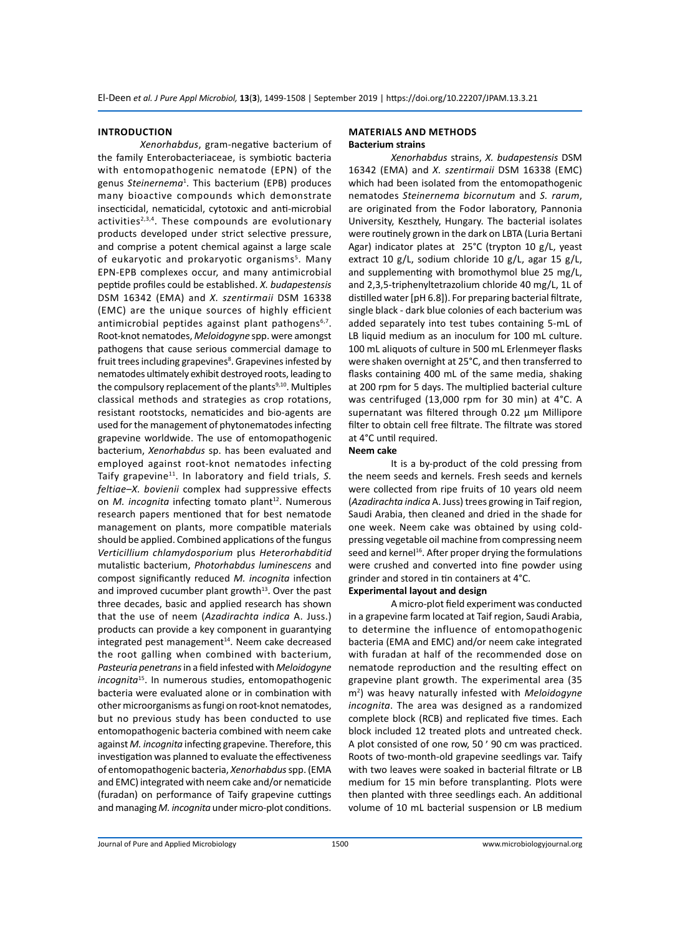# **INTRODUCTION**

*Xenorhabdus*, gram-negative bacterium of the family Enterobacteriaceae, is symbiotic bacteria with entomopathogenic nematode (EPN) of the genus *Steinernema*<sup>1</sup> . This bacterium (EPB) produces many bioactive compounds which demonstrate insecticidal, nematicidal, cytotoxic and anti-microbial activities $2,3,4$ . These compounds are evolutionary products developed under strict selective pressure, and comprise a potent chemical against a large scale of eukaryotic and prokaryotic organisms<sup>5</sup>. Many EPN-EPB complexes occur, and many antimicrobial peptide profiles could be established. *X. budapestensis* DSM 16342 (EMA) and *X. szentirmaii* DSM 16338 (EMC) are the unique sources of highly efficient antimicrobial peptides against plant pathogens<sup>6,7</sup>. Root-knot nematodes, *Meloidogyne* spp. were amongst pathogens that cause serious commercial damage to fruit trees including grapevines<sup>8</sup>. Grapevines infested by nematodes ultimately exhibit destroyed roots, leading to the compulsory replacement of the plants<sup>9,10</sup>. Multiples classical methods and strategies as crop rotations, resistant rootstocks, nematicides and bio-agents are used for the management of phytonematodes infecting grapevine worldwide. The use of entomopathogenic bacterium, *Xenorhabdus* sp. has been evaluated and employed against root-knot nematodes infecting Taify grapevine<sup>11</sup>. In laboratory and field trials, S. *feltiae–X. bovienii* complex had suppressive effects on *M. incognita* infecting tomato plant<sup>12</sup>. Numerous research papers mentioned that for best nematode management on plants, more compatible materials should be applied. Combined applications of the fungus *Verticillium chlamydosporium* plus *Heterorhabditid*  mutalistic bacterium, *Photorhabdus luminescens* and compost significantly reduced *M. incognita* infection and improved cucumber plant growth $13$ . Over the past three decades, basic and applied research has shown that the use of neem (*Azadirachta indica* A. Juss.) products can provide a key component in guarantying  $integral$ integrated pest management $14$ . Neem cake decreased the root galling when combined with bacterium, *Pasteuria penetrans* in a field infested with *Meloidogyne incognita*<sup>15</sup>. In numerous studies, entomopathogenic bacteria were evaluated alone or in combination with other microorganisms as fungi on root-knot nematodes, but no previous study has been conducted to use entomopathogenic bacteria combined with neem cake against *M. incognita* infecting grapevine. Therefore, this investigation was planned to evaluate the effectiveness of entomopathogenic bacteria, *Xenorhabdus* spp. (EMA and EMC) integrated with neem cake and/or nematicide (furadan) on performance of Taify grapevine cuttings and managing *M. incognita* under micro-plot conditions.

# **MATERIALS AND METHODS Bacterium strains**

*Xenorhabdus* strains, *X. budapestensis* DSM 16342 (EMA) and *X. szentirmaii* DSM 16338 (EMC) which had been isolated from the entomopathogenic nematodes *Steinernema bicornutum* and *S. rarum*, are originated from the Fodor laboratory, Pannonia University, Keszthely, Hungary. The bacterial isolates were routinely grown in the dark on LBTA (Luria Bertani Agar) indicator plates at 25°C (trypton 10 g/L, yeast extract 10 g/L, sodium chloride 10 g/L, agar 15 g/L, and supplementing with bromothymol blue 25 mg/L, and 2,3,5-triphenyltetrazolium chloride 40 mg/L, 1L of distilled water [pH 6.8]). For preparing bacterial filtrate, single black - dark blue colonies of each bacterium was added separately into test tubes containing 5-mL of LB liquid medium as an inoculum for 100 mL culture. 100 mL aliquots of culture in 500 mL Erlenmeyer flasks were shaken overnight at 25°C, and then transferred to flasks containing 400 mL of the same media, shaking at 200 rpm for 5 days. The multiplied bacterial culture was centrifuged (13,000 rpm for 30 min) at 4°C. A supernatant was filtered through 0.22 μm Millipore filter to obtain cell free filtrate. The filtrate was stored at 4°C until required.

### **Neem cake**

It is a by-product of the cold pressing from the neem seeds and kernels. Fresh seeds and kernels were collected from ripe fruits of 10 years old neem (*Azadirachta indica* A. Juss) trees growing in Taif region, Saudi Arabia, then cleaned and dried in the shade for one week. Neem cake was obtained by using coldpressing vegetable oil machine from compressing neem seed and kernel<sup>16</sup>. After proper drying the formulations were crushed and converted into fine powder using grinder and stored in tin containers at 4°C.

### **Experimental layout and design**

A micro-plot field experiment was conducted in a grapevine farm located at Taif region, Saudi Arabia, to determine the influence of entomopathogenic bacteria (EMA and EMC) and/or neem cake integrated with furadan at half of the recommended dose on nematode reproduction and the resulting effect on grapevine plant growth. The experimental area (35 m2 ) was heavy naturally infested with *Meloidogyne incognita*. The area was designed as a randomized complete block (RCB) and replicated five times. Each block included 12 treated plots and untreated check. A plot consisted of one row, 50 ׳ 90 cm was practiced. Roots of two-month-old grapevine seedlings var. Taify with two leaves were soaked in bacterial filtrate or LB medium for 15 min before transplanting. Plots were then planted with three seedlings each. An additional volume of 10 mL bacterial suspension or LB medium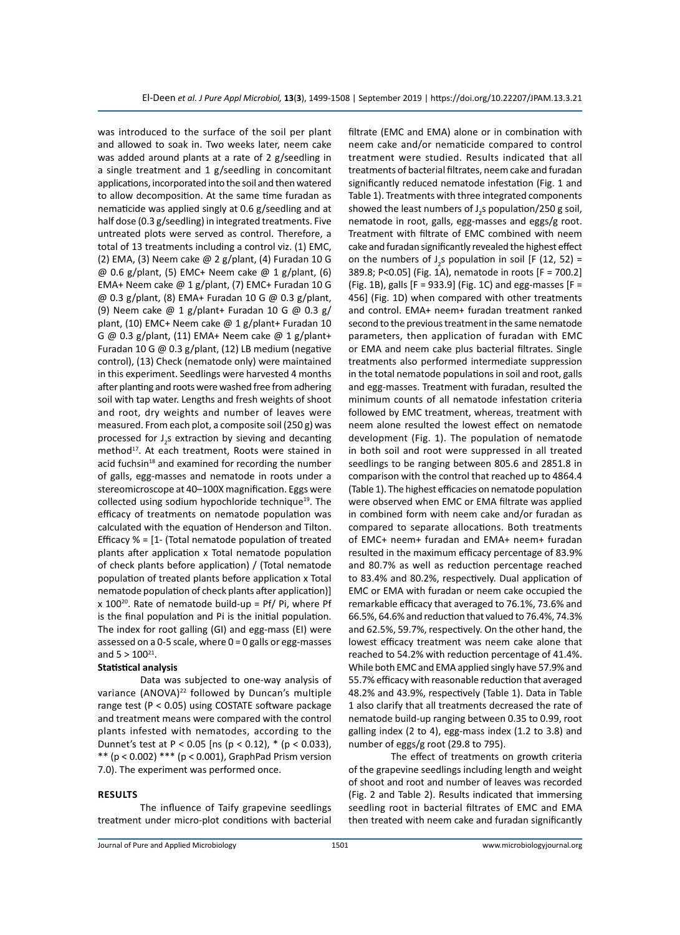was introduced to the surface of the soil per plant and allowed to soak in. Two weeks later, neem cake was added around plants at a rate of 2 g/seedling in a single treatment and 1 g/seedling in concomitant applications, incorporated into the soil and then watered to allow decomposition. At the same time furadan as nematicide was applied singly at 0.6 g/seedling and at half dose (0.3 g/seedling) in integrated treatments. Five untreated plots were served as control. Therefore, a total of 13 treatments including a control viz. (1) EMC, (2) EMA, (3) Neem cake @ 2 g/plant, (4) Furadan 10 G  $@0.6$  g/plant, (5) EMC+ Neem cake  $@1$  g/plant, (6) EMA+ Neem cake @ 1 g/plant, (7) EMC+ Furadan 10 G @ 0.3 g/plant, (8) EMA+ Furadan 10 G @ 0.3 g/plant, (9) Neem cake @ 1 g/plant+ Furadan 10 G @ 0.3 g/ plant, (10) EMC+ Neem cake @ 1 g/plant+ Furadan 10 G @ 0.3 g/plant, (11) EMA+ Neem cake @ 1 g/plant+ Furadan 10 G @ 0.3 g/plant, (12) LB medium (negative control), (13) Check (nematode only) were maintained in this experiment. Seedlings were harvested 4 months after planting and roots were washed free from adhering soil with tap water. Lengths and fresh weights of shoot and root, dry weights and number of leaves were measured. From each plot, a composite soil (250 g) was processed for  $J_2$ s extraction by sieving and decanting method<sup>17</sup>. At each treatment, Roots were stained in acid fuchsin<sup>18</sup> and examined for recording the number of galls, egg-masses and nematode in roots under a stereomicroscope at 40–100X magnification. Eggs were collected using sodium hypochloride technique<sup>19</sup>. The efficacy of treatments on nematode population was calculated with the equation of Henderson and Tilton. Efficacy  $% = [1 -$  (Total nematode population of treated plants after application x Total nematode population of check plants before application) / (Total nematode population of treated plants before application x Total nematode population of check plants after application)]  $x$  100<sup>20</sup>. Rate of nematode build-up = Pf/ Pi, where Pf is the final population and Pi is the initial population. The index for root galling (GI) and egg-mass (EI) were assessed on a 0-5 scale, where 0 = 0 galls or egg-masses and  $5 > 100^{21}$ .

# **Statistical analysis**

Data was subjected to one-way analysis of variance (ANOVA)<sup>22</sup> followed by Duncan's multiple range test (P < 0.05) using COSTATE software package and treatment means were compared with the control plants infested with nematodes, according to the Dunnet's test at P < 0.05 [ns (p < 0.12), \* (p < 0.033), \*\* (p < 0.002) \*\*\* (p < 0.001), GraphPad Prism version 7.0). The experiment was performed once.

### **RESULTS**

The influence of Taify grapevine seedlings treatment under micro-plot conditions with bacterial filtrate (EMC and EMA) alone or in combination with neem cake and/or nematicide compared to control treatment were studied. Results indicated that all treatments of bacterial filtrates, neem cake and furadan significantly reduced nematode infestation (Fig. 1 and Table 1). Treatments with three integrated components showed the least numbers of J<sub>2</sub>s population/250 g soil, nematode in root, galls, egg-masses and eggs/g root. Treatment with filtrate of EMC combined with neem cake and furadan significantly revealed the highest effect on the numbers of  $J_2$ s population in soil [F (12, 52) = 389.8; P<0.05] (Fig. 1A), nematode in roots [F = 700.2] (Fig. 1B), galls [F = 933.9] (Fig. 1C) and egg-masses [F = 456] (Fig. 1D) when compared with other treatments and control. EMA+ neem+ furadan treatment ranked second to the previous treatment in the same nematode parameters, then application of furadan with EMC or EMA and neem cake plus bacterial filtrates. Single treatments also performed intermediate suppression in the total nematode populations in soil and root, galls and egg-masses. Treatment with furadan, resulted the minimum counts of all nematode infestation criteria followed by EMC treatment, whereas, treatment with neem alone resulted the lowest effect on nematode development (Fig. 1). The population of nematode in both soil and root were suppressed in all treated seedlings to be ranging between 805.6 and 2851.8 in comparison with the control that reached up to 4864.4 (Table 1). The highest efficacies on nematode population were observed when EMC or EMA filtrate was applied in combined form with neem cake and/or furadan as compared to separate allocations. Both treatments of EMC+ neem+ furadan and EMA+ neem+ furadan resulted in the maximum efficacy percentage of 83.9% and 80.7% as well as reduction percentage reached to 83.4% and 80.2%, respectively. Dual application of EMC or EMA with furadan or neem cake occupied the remarkable efficacy that averaged to 76.1%, 73.6% and 66.5%, 64.6% and reduction that valued to 76.4%, 74.3% and 62.5%, 59.7%, respectively. On the other hand, the lowest efficacy treatment was neem cake alone that reached to 54.2% with reduction percentage of 41.4%. While both EMC and EMA applied singly have 57.9% and 55.7% efficacy with reasonable reduction that averaged 48.2% and 43.9%, respectively (Table 1). Data in Table 1 also clarify that all treatments decreased the rate of nematode build-up ranging between 0.35 to 0.99, root galling index (2 to 4), egg-mass index (1.2 to 3.8) and number of eggs/g root (29.8 to 795).

The effect of treatments on growth criteria of the grapevine seedlings including length and weight of shoot and root and number of leaves was recorded (Fig. 2 and Table 2). Results indicated that immersing seedling root in bacterial filtrates of EMC and EMA then treated with neem cake and furadan significantly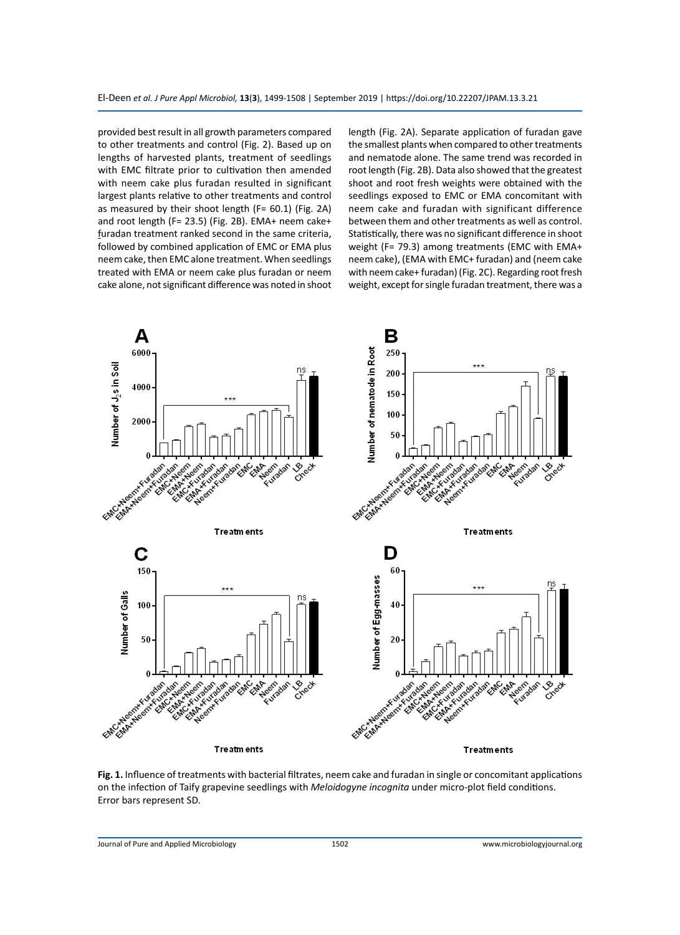provided best result in all growth parameters compared to other treatments and control (Fig. 2). Based up on lengths of harvested plants, treatment of seedlings with EMC filtrate prior to cultivation then amended with neem cake plus furadan resulted in significant largest plants relative to other treatments and control as measured by their shoot length (F= 60.1) (Fig. 2A) and root length (F= 23.5) (Fig. 2B). EMA+ neem cake+ furadan treatment ranked second in the same criteria, followed by combined application of EMC or EMA plus neem cake, then EMC alone treatment. When seedlings treated with EMA or neem cake plus furadan or neem cake alone, not significant difference was noted in shoot length (Fig. 2A). Separate application of furadan gave the smallest plants when compared to other treatments and nematode alone. The same trend was recorded in root length (Fig. 2B). Data also showed that the greatest shoot and root fresh weights were obtained with the seedlings exposed to EMC or EMA concomitant with neem cake and furadan with significant difference between them and other treatments as well as control. Statistically, there was no significant difference in shoot weight (F= 79.3) among treatments (EMC with EMA+ neem cake), (EMA with EMC+ furadan) and (neem cake with neem cake+ furadan) (Fig. 2C). Regarding root fresh weight, except for single furadan treatment, there was a



**Fig. 1.** Influence of treatments with bacterial filtrates, neem cake and furadan in single or concomitant applications on the infection of Taify grapevine seedlings with *Meloidogyne incognita* under micro-plot field conditions. Error bars represent SD.

Journal of Pure and Applied Microbiology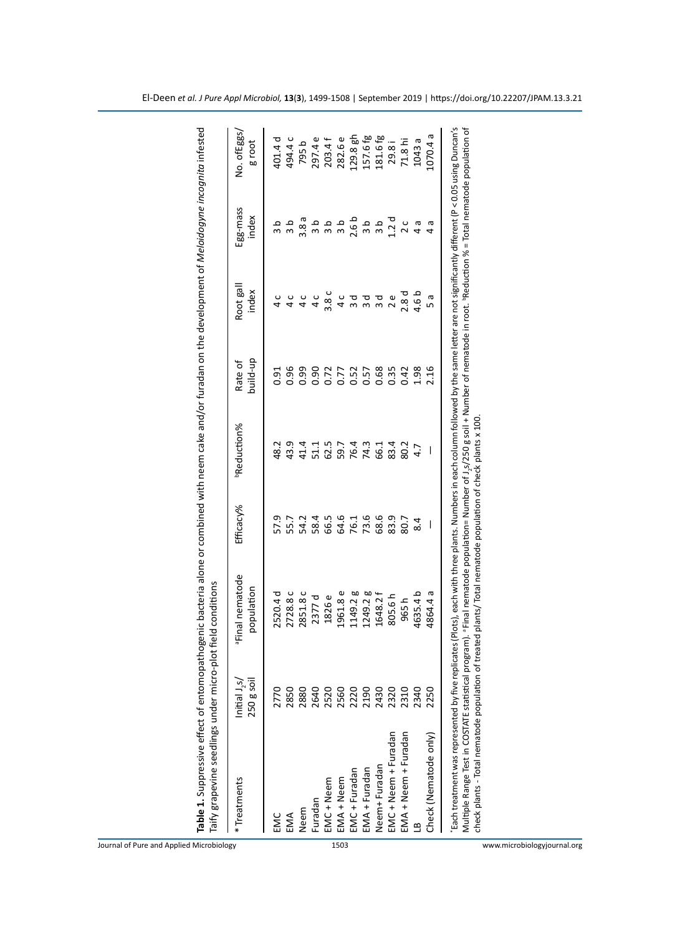|                               | <sup>a</sup> Final nematode | Efficacy% | <b>PReduction%</b> | Rate of              | Root gal         | Egg-mass         | No. of Eggs |
|-------------------------------|-----------------------------|-----------|--------------------|----------------------|------------------|------------------|-------------|
| 250 g soil                    | population                  |           |                    | build-up             | index            | index            | g root      |
| 2770<br>EMC                   | 2520.4 d                    | 57.9      | 48.2               | ງ.91<br>ວ            | ں<br>4           | a<br>3           | 401.4 d     |
| 2850<br>EMA                   | 2728.8 c                    | 55.7      | 43.9               | 0.96                 | ں<br>4           |                  | 494.4 c     |
| 2880<br>Neem                  | 2851.8c                     | 54.2      | 41.4               | 0.99                 |                  | 3.8a             | 795b        |
| 2640<br>Furadan               | 2377 d                      | 58.4      |                    | 0.90                 |                  | a<br>3           | 297.4 e     |
| 2520<br>EMC + Neem            | 1826 e                      | 66.5      | 51.1<br>62.5       | 0.72                 | 3.8 <sub>c</sub> | a<br>S           | 203.4f      |
| EMA + Neem                    | 1961.8 e                    | 64.6      |                    |                      | ں<br>4           | a<br>S           | 282.6 e     |
| 2560<br>2220<br>EMC + Furadan | 1149.2 g                    | 76.1      | 59.7<br>76.4       | 0.77<br>0.52<br>0.57 | ా                | 2.6 <sub>b</sub> | $129.8$ gh  |
| 2190<br>EMA + Furadan         | 1249.2 <sub>g</sub>         | 73.6      | 74.3               |                      | ᅙ                | a<br>S           | 157.6 fg    |
| 2430<br>Neem+ Furadan         | 1648.2 f                    | 68.6      | 66.1               | 0.68                 | ರ                | a<br>S           | 181.6fg     |
| 2320<br>EMC + Neem + Furadan  | 805.6h                      | 83.9      | 83.4               | 0.35                 | Φ                | 1.2d             | 29.8i       |
| 2310<br>EMA + Neem + Furadan  | 965h                        | 80.7      | 80.2               | 0.42                 | 2.8 d            | $\overline{c}$   | 71.8 hi     |
| 2340                          | 4635.4b                     |           |                    | 1.98                 | 4.6 b            | σ                | 1043 a      |
| 250<br>Check (Nematode only)  | 4864.4 a                    |           |                    | <b>2.16</b>          | ᡕᢐ               | ᢐ                | ᡴ<br>070.4  |

www.microbiologyjournal.org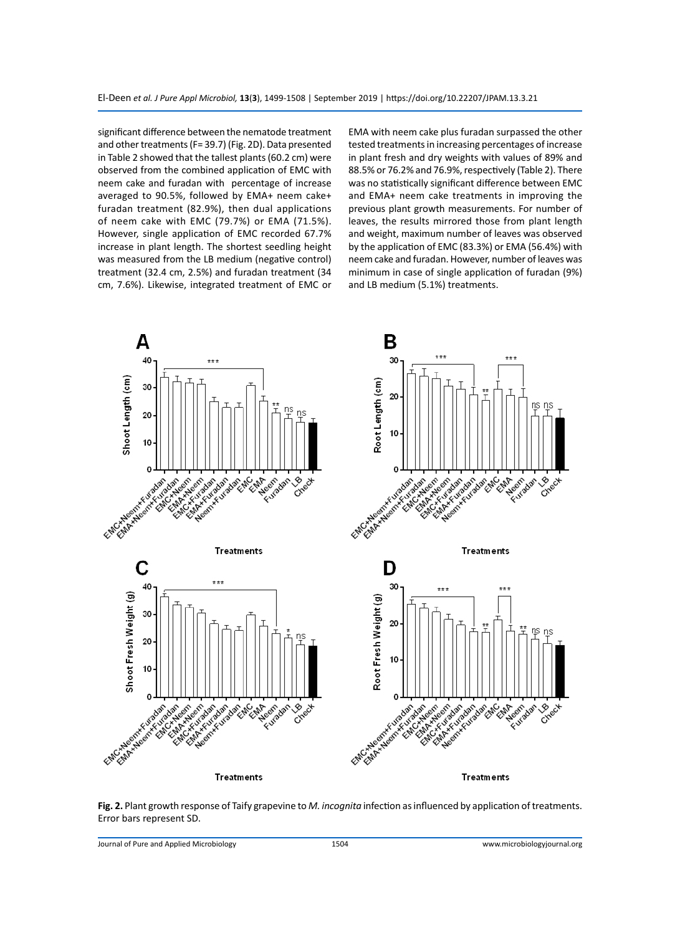significant difference between the nematode treatment and other treatments (F= 39.7) (Fig. 2D). Data presented in Table 2 showed that the tallest plants (60.2 cm) were observed from the combined application of EMC with neem cake and furadan with percentage of increase averaged to 90.5%, followed by EMA+ neem cake+ furadan treatment (82.9%), then dual applications of neem cake with EMC (79.7%) or EMA (71.5%). However, single application of EMC recorded 67.7% increase in plant length. The shortest seedling height was measured from the LB medium (negative control) treatment (32.4 cm, 2.5%) and furadan treatment (34 cm, 7.6%). Likewise, integrated treatment of EMC or EMA with neem cake plus furadan surpassed the other tested treatments in increasing percentages of increase in plant fresh and dry weights with values of 89% and 88.5% or 76.2% and 76.9%, respectively (Table 2). There was no statistically significant difference between EMC and EMA+ neem cake treatments in improving the previous plant growth measurements. For number of leaves, the results mirrored those from plant length and weight, maximum number of leaves was observed by the application of EMC (83.3%) or EMA (56.4%) with neem cake and furadan. However, number of leaves was minimum in case of single application of furadan (9%) and LB medium (5.1%) treatments.



**Fig. 2.** Plant growth response of Taify grapevine to *M. incognita* infection as influenced by application of treatments. Error bars represent SD.

Journal of Pure and Applied Microbiology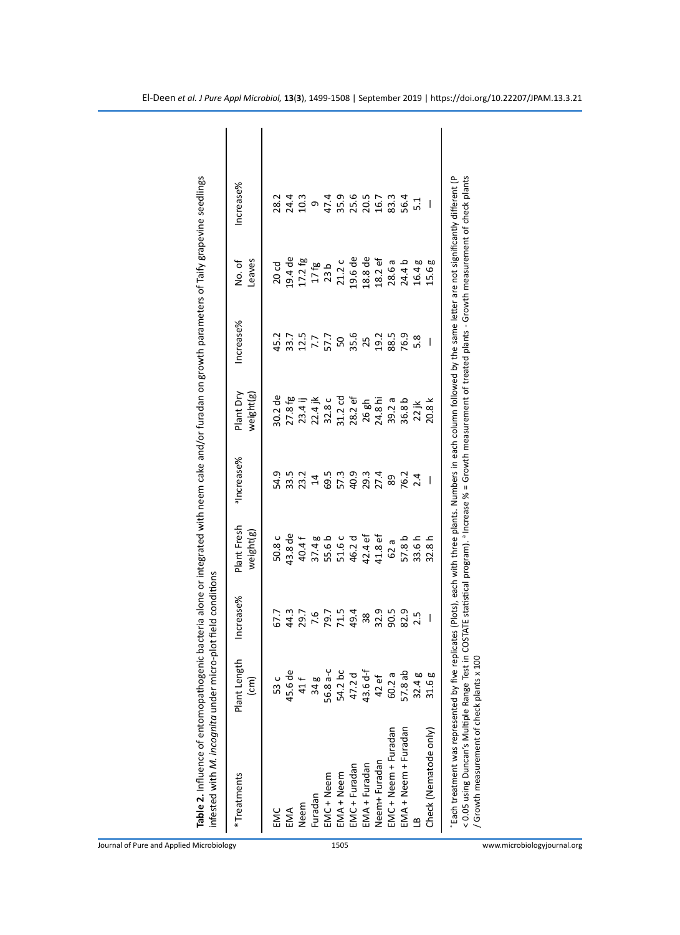| infested with M. incognita under micro-plot field conditions<br>Table 2. Influence of entomopathogenic                                                                                                                                                                 |                                   |                          |                             |                |                        | bacteria alone or integrated with neem cake and/or furadan on growth parameters of Taify grapevine seedlings                      |                   |                      |
|------------------------------------------------------------------------------------------------------------------------------------------------------------------------------------------------------------------------------------------------------------------------|-----------------------------------|--------------------------|-----------------------------|----------------|------------------------|-----------------------------------------------------------------------------------------------------------------------------------|-------------------|----------------------|
| *Treatments                                                                                                                                                                                                                                                            | Plant Length<br>$\overline{c}$ m) | Increase%                | Plant Fresh<br>weight $(g)$ | alncrease%     | Plant Dry<br>weight(g) | Increase%                                                                                                                         | Leaves<br>No. of  | Increase%            |
|                                                                                                                                                                                                                                                                        |                                   |                          |                             |                |                        |                                                                                                                                   |                   |                      |
| EMC                                                                                                                                                                                                                                                                    | 53 c                              | 67.7                     | 50.8 c                      | 54.9           | 30.2 de                | 45.2                                                                                                                              | 20 <sub>cd</sub>  | 28.2                 |
| EMA                                                                                                                                                                                                                                                                    | 45.6 de                           | 44.3                     | 43.8 de                     | 33.5           | 27.8 fg                | 33.7                                                                                                                              | $9.4$ de          | 24.4                 |
| Neem                                                                                                                                                                                                                                                                   | 41 f                              | 29.7                     | 40.4 f                      | 23.2           | $23.4$ ij              | 12.5                                                                                                                              | 17.2fg            | 10.3                 |
| Furadan                                                                                                                                                                                                                                                                | 34g                               | 7.6                      | 37.4g                       | $\overline{1}$ | $22.4$ jk              |                                                                                                                                   | 17 <sub>fg</sub>  | თ                    |
| MC + Neem                                                                                                                                                                                                                                                              | 56.8 a-c                          |                          | 55.6 b                      | 69.5           | 32.8 c                 | 57.7                                                                                                                              | 23 <sub>b</sub>   | 47.4                 |
| MA + Neem                                                                                                                                                                                                                                                              | 54.2 bc                           | 79.7<br>71.5<br>49.4     | 51.6 c                      | 57.3<br>40.9   | $31.2 \text{ cd}$      |                                                                                                                                   | 21.2 c            |                      |
| EMC + Furadan                                                                                                                                                                                                                                                          | 47.2 d                            |                          | 46.2 d                      |                | $28.2$ ef              | 50<br>35.6                                                                                                                        | 19.6 de           |                      |
| EMA + Furadan                                                                                                                                                                                                                                                          | 43.6 d-f                          | $38\,$                   | 42.4 ef                     | 29.3<br>27.4   | 26 gh                  | 25                                                                                                                                | 18.8 de           | 35.9<br>20.5<br>20.7 |
| Neem+Furadan                                                                                                                                                                                                                                                           | 42 ef                             | 32.9                     | 41.8 ef                     |                | 24.8 hi                | 19.2                                                                                                                              | $18.2 \text{ ef}$ |                      |
| EMC + Neem + Furadan                                                                                                                                                                                                                                                   | 60.2 a                            | 90.5                     | 62 a                        | 89             | 39.2a                  | 88.5                                                                                                                              | 28.6a             | 83.3                 |
| EMA + Neem + Furadan                                                                                                                                                                                                                                                   | 57.8 ab                           | 82.9                     | 57.8 b                      | 76.2           | 36.8 b                 | 76.9                                                                                                                              | 24.4b             | 56.4                 |
|                                                                                                                                                                                                                                                                        | 32.4g                             | 2.5                      | 33.6 h                      | 2.4            | $22$ jk                |                                                                                                                                   | 60<br>16.4        |                      |
| Check (Nematode only)                                                                                                                                                                                                                                                  | 31.6g                             | $\overline{\phantom{a}}$ | 32.8h                       | I              | 20.8 k                 | I                                                                                                                                 | 60<br><b>5.6</b>  |                      |
| Each treatment was represented by five replicates (Plots), each with three plants. Numbers in each column followed by the same letter are not significantly different (P<br>< 0.05 using Duncan's Multiple Range Test in<br>/ Growth measurement of check plants x 100 |                                   |                          |                             |                |                        | COSTATE statistical program). <sup>a</sup> Increase % = Growth measurement of treated plants - Growth measurement of check plants |                   |                      |

Journal of Pure and Applied Microbiology

www.microbiologyjournal.org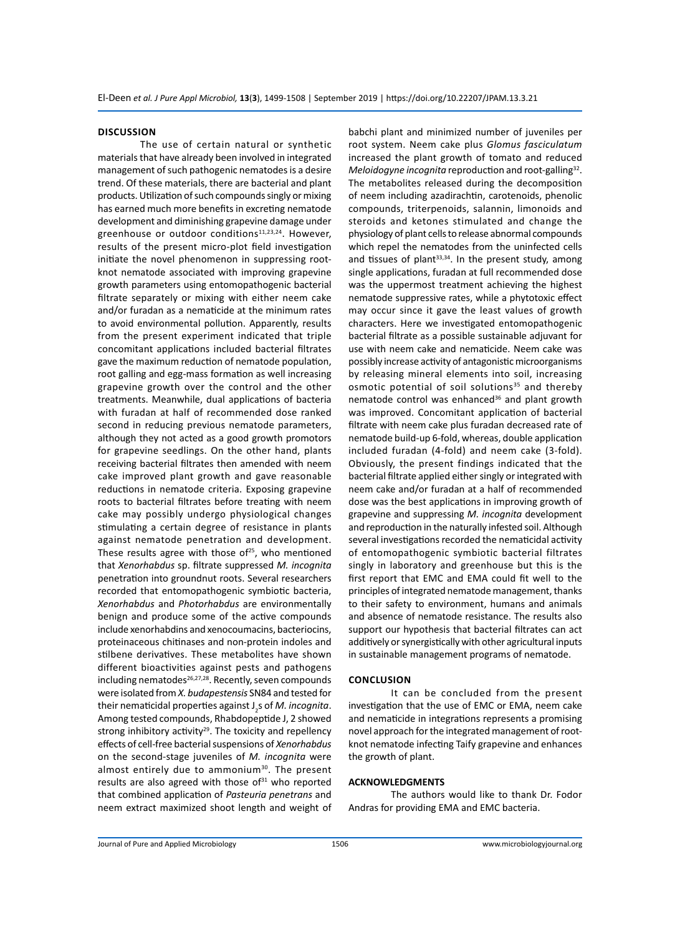### **DISCUSSION**

The use of certain natural or synthetic materials that have already been involved in integrated management of such pathogenic nematodes is a desire trend. Of these materials, there are bacterial and plant products. Utilization of such compounds singly or mixing has earned much more benefits in excreting nematode development and diminishing grapevine damage under greenhouse or outdoor conditions<sup>11,23,24</sup>. However, results of the present micro-plot field investigation initiate the novel phenomenon in suppressing rootknot nematode associated with improving grapevine growth parameters using entomopathogenic bacterial filtrate separately or mixing with either neem cake and/or furadan as a nematicide at the minimum rates to avoid environmental pollution. Apparently, results from the present experiment indicated that triple concomitant applications included bacterial filtrates gave the maximum reduction of nematode population, root galling and egg-mass formation as well increasing grapevine growth over the control and the other treatments. Meanwhile, dual applications of bacteria with furadan at half of recommended dose ranked second in reducing previous nematode parameters, although they not acted as a good growth promotors for grapevine seedlings. On the other hand, plants receiving bacterial filtrates then amended with neem cake improved plant growth and gave reasonable reductions in nematode criteria. Exposing grapevine roots to bacterial filtrates before treating with neem cake may possibly undergo physiological changes stimulating a certain degree of resistance in plants against nematode penetration and development. These results agree with those of $25$ , who mentioned that *Xenorhabdus* sp. filtrate suppressed *M. incognita* penetration into groundnut roots. Several researchers recorded that entomopathogenic symbiotic bacteria, *Xenorhabdus* and *Photorhabdus* are environmentally benign and produce some of the active compounds include xenorhabdins and xenocoumacins, bacteriocins, proteinaceous chitinases and non-protein indoles and stilbene derivatives. These metabolites have shown different bioactivities against pests and pathogens including nematodes<sup>26,27,28</sup>. Recently, seven compounds were isolated from *X. budapestensis* SN84 and tested for their nematicidal properties against J<sub>2</sub>s of *M. incognita*. Among tested compounds, Rhabdopeptide J, 2 showed strong inhibitory activity<sup>29</sup>. The toxicity and repellency effects of cell-free bacterial suspensions of *Xenorhabdus* on the second-stage juveniles of *M. incognita* were almost entirely due to ammonium $30$ . The present results are also agreed with those of $31$  who reported that combined application of *Pasteuria penetrans* and neem extract maximized shoot length and weight of babchi plant and minimized number of juveniles per root system. Neem cake plus *Glomus fasciculatum* increased the plant growth of tomato and reduced *Meloidogyne incognita* reproduction and root-galling<sup>32</sup>. The metabolites released during the decomposition of neem including azadirachtin, carotenoids, phenolic compounds, triterpenoids, salannin, limonoids and steroids and ketones stimulated and change the physiology of plant cells to release abnormal compounds which repel the nematodes from the uninfected cells and tissues of plant<sup>33,34</sup>. In the present study, among single applications, furadan at full recommended dose was the uppermost treatment achieving the highest nematode suppressive rates, while a phytotoxic effect may occur since it gave the least values of growth characters. Here we investigated entomopathogenic bacterial filtrate as a possible sustainable adjuvant for use with neem cake and nematicide. Neem cake was possibly increase activity of antagonistic microorganisms by releasing mineral elements into soil, increasing osmotic potential of soil solutions<sup>35</sup> and thereby nematode control was enhanced<sup>36</sup> and plant growth was improved. Concomitant application of bacterial filtrate with neem cake plus furadan decreased rate of nematode build-up 6-fold, whereas, double application included furadan (4-fold) and neem cake (3-fold). Obviously, the present findings indicated that the bacterial filtrate applied either singly or integrated with neem cake and/or furadan at a half of recommended dose was the best applications in improving growth of grapevine and suppressing *M. incognita* development and reproduction in the naturally infested soil. Although several investigations recorded the nematicidal activity of entomopathogenic symbiotic bacterial filtrates singly in laboratory and greenhouse but this is the first report that EMC and EMA could fit well to the principles of integrated nematode management, thanks to their safety to environment, humans and animals and absence of nematode resistance. The results also support our hypothesis that bacterial filtrates can act additively or synergistically with other agricultural inputs in sustainable management programs of nematode.

# **CONCLUSION**

It can be concluded from the present investigation that the use of EMC or EMA, neem cake and nematicide in integrations represents a promising novel approach for the integrated management of rootknot nematode infecting Taify grapevine and enhances the growth of plant.

### **ACKNOWLEDGMENTS**

The authors would like to thank Dr. Fodor Andras for providing EMA and EMC bacteria.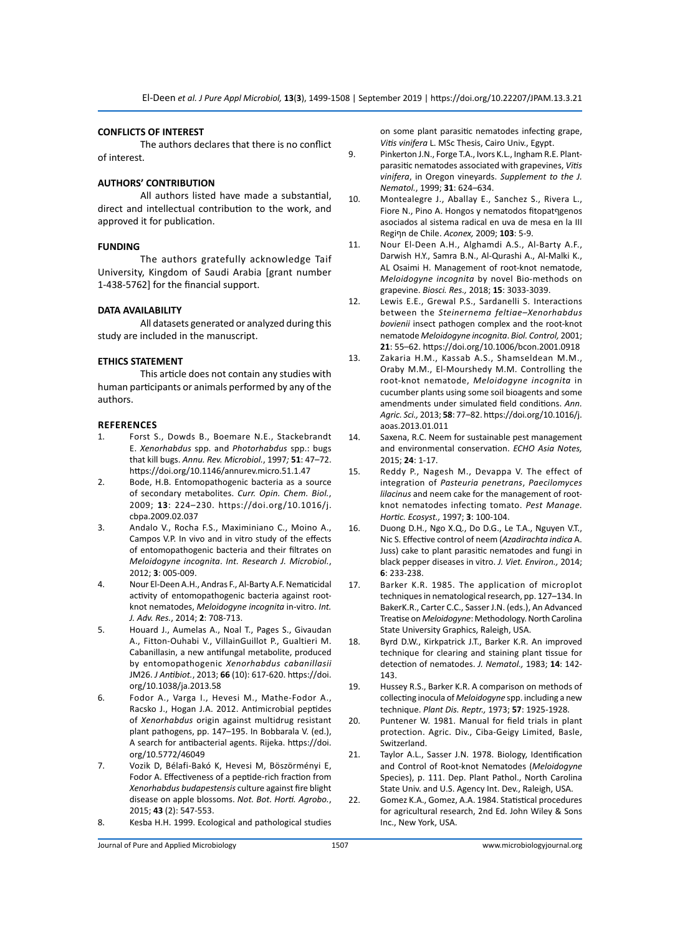# **CONFLICTS OF INTEREST**

The authors declares that there is no conflict of interest.

#### **AUTHORS' CONTRIBUTION**

All authors listed have made a substantial, direct and intellectual contribution to the work, and approved it for publication.

# **FUNDING**

The authors gratefully acknowledge Taif University, Kingdom of Saudi Arabia [grant number 1-438-5762] for the financial support.

#### **DATA AVAILABILITY**

All datasets generated or analyzed during this study are included in the manuscript.

#### **ETHICS STATEMENT**

This article does not contain any studies with human participants or animals performed by any of the authors.

#### **REFERENCES**

- 1. Forst S., Dowds B., Boemare N.E., Stackebrandt E. *Xenorhabdus* spp. and *Photorhabdus* spp.: bugs that kill bugs. *Annu. Rev. Microbiol.*, 1997*;* **51**: 47–72. https://doi.org/10.1146/annurev.micro.51.1.47
- 2. Bode, H.B. Entomopathogenic bacteria as a source of secondary metabolites. *Curr. Opin. Chem. Biol.*, 2009; **13**: 224–230. https://doi.org/10.1016/j. cbpa.2009.02.037
- 3. Andalo V., Rocha F.S., Maximiniano C., Moino A., Campos V.P. In vivo and in vitro study of the effects of entomopathogenic bacteria and their filtrates on *Meloidogyne incognita*. *Int. Research J. Microbiol.*, 2012; **3**: 005-009.
- 4. Nour El-Deen A.H., Andras F., Al-Barty A.F. Nematicidal activity of entomopathogenic bacteria against rootknot nematodes, *Meloidogyne incognita* in-vitro. *Int. J. Adv. Res.*, 2014; **2**: 708-713.
- 5. Houard J., Aumelas A., Noal T., Pages S., Givaudan A., Fitton-Ouhabi V., VillainGuillot P., Gualtieri M. Cabanillasin, a new antifungal metabolite, produced by entomopathogenic *Xenorhabdus cabanillasii* JM26. *J Antibiot.*, 2013; **66** (10): 617-620. https://doi. org/10.1038/ja.2013.58
- 6. Fodor A., Varga I., Hevesi M., Mathe-Fodor A., Racsko J., Hogan J.A. 2012. Antimicrobial peptides of *Xenorhabdus* origin against multidrug resistant plant pathogens, pp. 147–195. In Bobbarala V. (ed.), A search for antibacterial agents. Rijeka. https://doi. org/10.5772/46049
- 7. Vozik D, Bélafi-Bakó K, Hevesi M, Böszörményi E, Fodor A. Effectiveness of a peptide-rich fraction from *Xenorhabdus budapestensis* culture against fire blight disease on apple blossoms. *Not. Bot. Horti. Agrobo.*, 2015; **43** (2): 547-553.
- 8. Kesba H.H. 1999. Ecological and pathological studies

on some plant parasitic nematodes infecting grape, *Vitis vinifera* L. MSc Thesis, Cairo Univ., Egypt.

- 9. Pinkerton J.N., Forge T.A., Ivors K.L., Ingham R.E. Plantparasitic nematodes associated with grapevines, *Vitis vinifera*, in Oregon vineyards. *Supplement to the J. Nematol.*, 1999; **31**: 624–634.
- 10. Montealegre J., Aballay E., Sanchez S., Rivera L., Fiore N., Pino A. Hongos y nematodos fitopatףgenos asociados al sistema radical en uva de mesa en la III Regiףn de Chile. *Aconex,* 2009; **103**: 5-9.
- 11. Nour El-Deen A.H., Alghamdi A.S., Al-Barty A.F., Darwish H.Y., Samra B.N., Al-Qurashi A., Al-Malki K., AL Osaimi H. Management of root-knot nematode, *Meloidogyne incognita* by novel Bio-methods on grapevine. *Biosci. Res.,* 2018; **15**: 3033-3039.
- 12. Lewis E.E., Grewal P.S., Sardanelli S. Interactions between the *Steinernema feltiae–Xenorhabdus bovienii* insect pathogen complex and the root-knot nematode *Meloidogyne incognita*. *Biol. Control,* 2001; **21**: 55–62. https://doi.org/10.1006/bcon.2001.0918
- 13. Zakaria H.M., Kassab A.S., Shamseldean M.M., Oraby M.M., El-Mourshedy M.M. Controlling the root-knot nematode, *Meloidogyne incognita* in cucumber plants using some soil bioagents and some amendments under simulated field conditions. *Ann. Agric. Sci.,* 2013; **58**: 77–82. https://doi.org/10.1016/j. aoas.2013.01.011
- 14. Saxena, R.C. Neem for sustainable pest management and environmental conservation. *ECHO Asia Notes,*  2015; **24**: 1-17.
- 15. Reddy P., Nagesh M., Devappa V. The effect of integration of *Pasteuria penetrans*, *Paecilomyces lilacinus* and neem cake for the management of rootknot nematodes infecting tomato. *Pest Manage. Hortic. Ecosyst.,* 1997; **3**: 100-104.
- 16. Duong D.H., Ngo X.Q., Do D.G., Le T.A., Nguyen V.T., Nic S. Effective control of neem (*Azadirachta indica* A. Juss) cake to plant parasitic nematodes and fungi in black pepper diseases in vitro. *J. Viet. Environ.,* 2014; **6**: 233-238.
- 17. Barker K.R. 1985. The application of microplot techniques in nematological research, pp. 127–134. In BakerK.R., Carter C.C., Sasser J.N. (eds.), An Advanced Treatise on *Meloidogyne*: Methodology. North Carolina State University Graphics, Raleigh, USA.
- 18. Byrd D.W., Kirkpatrick J.T., Barker K.R. An improved technique for clearing and staining plant tissue for detection of nematodes. *J. Nematol.,* 1983; **14**: 142- 143.
- 19. Hussey R.S., Barker K.R. A comparison on methods of collecting inocula of *Meloidogyne* spp. including a new technique. *Plant Dis. Reptr.,* 1973; **57**: 1925-1928.
- 20. Puntener W. 1981. Manual for field trials in plant protection. Agric. Div., Ciba-Geigy Limited, Basle, Switzerland.
- 21. Taylor A.L., Sasser J.N. 1978. Biology, Identification and Control of Root-knot Nematodes (*Meloidogyne* Species), p. 111. Dep. Plant Pathol., North Carolina State Univ. and U.S. Agency Int. Dev., Raleigh, USA.
- 22. Gomez K.A., Gomez, A.A. 1984. Statistical procedures for agricultural research, 2nd Ed. John Wiley & Sons Inc., New York, USA.